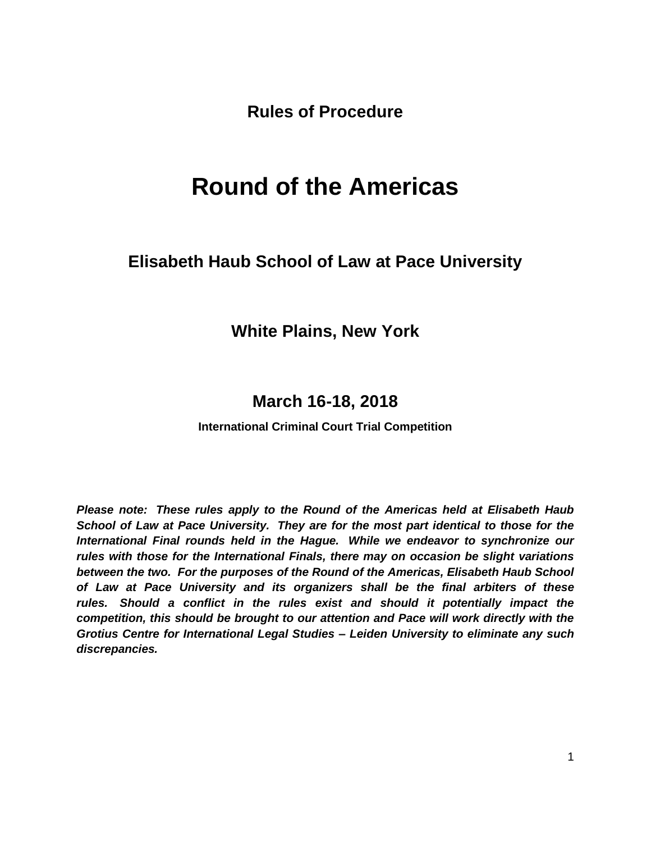**Rules of Procedure**

# **Round of the Americas**

# **Elisabeth Haub School of Law at Pace University**

# **White Plains, New York**

# **March 16-18, 2018**

#### **International Criminal Court Trial Competition**

*Please note: These rules apply to the Round of the Americas held at Elisabeth Haub School of Law at Pace University. They are for the most part identical to those for the International Final rounds held in the Hague. While we endeavor to synchronize our rules with those for the International Finals, there may on occasion be slight variations between the two. For the purposes of the Round of the Americas, Elisabeth Haub School of Law at Pace University and its organizers shall be the final arbiters of these*  rules. Should a conflict in the rules exist and should it potentially impact the *competition, this should be brought to our attention and Pace will work directly with the Grotius Centre for International Legal Studies – Leiden University to eliminate any such discrepancies.*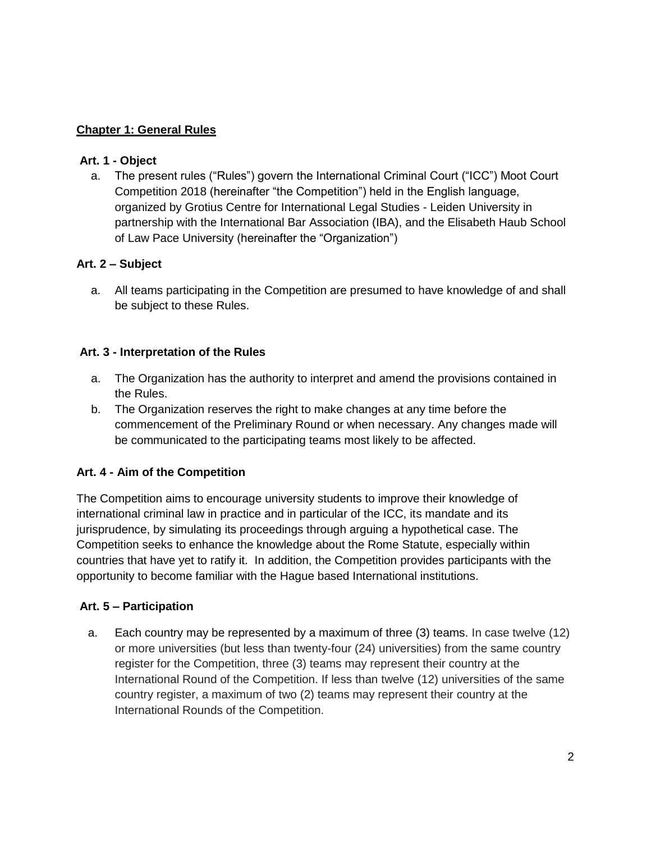#### **Chapter 1: General Rules**

#### **Art. 1 - Object**

a. The present rules ("Rules") govern the International Criminal Court ("ICC") Moot Court Competition 2018 (hereinafter "the Competition") held in the English language, organized by Grotius Centre for International Legal Studies - Leiden University in partnership with the International Bar Association (IBA), and the Elisabeth Haub School of Law Pace University (hereinafter the "Organization")

#### **Art. 2 – Subject**

a. All teams participating in the Competition are presumed to have knowledge of and shall be subject to these Rules.

#### **Art. 3 - Interpretation of the Rules**

- a. The Organization has the authority to interpret and amend the provisions contained in the Rules.
- b. The Organization reserves the right to make changes at any time before the commencement of the Preliminary Round or when necessary. Any changes made will be communicated to the participating teams most likely to be affected.

#### **Art. 4 - Aim of the Competition**

The Competition aims to encourage university students to improve their knowledge of international criminal law in practice and in particular of the ICC, its mandate and its jurisprudence, by simulating its proceedings through arguing a hypothetical case. The Competition seeks to enhance the knowledge about the Rome Statute, especially within countries that have yet to ratify it. In addition, the Competition provides participants with the opportunity to become familiar with the Hague based International institutions.

#### **Art. 5 – Participation**

a. Each country may be represented by a maximum of three (3) teams. In case twelve (12) or more universities (but less than twenty-four (24) universities) from the same country register for the Competition, three (3) teams may represent their country at the International Round of the Competition. If less than twelve (12) universities of the same country register, a maximum of two (2) teams may represent their country at the International Rounds of the Competition.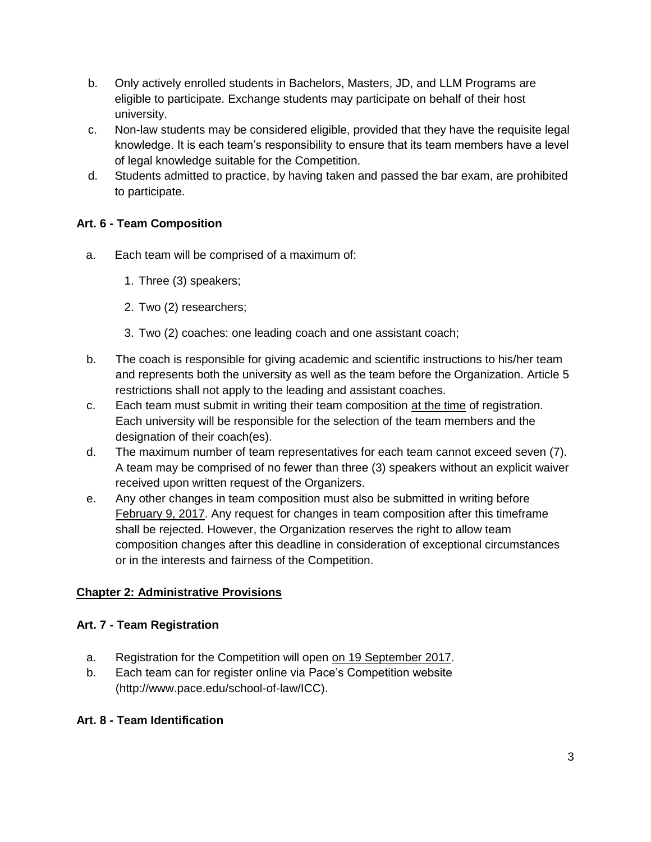- b. Only actively enrolled students in Bachelors, Masters, JD, and LLM Programs are eligible to participate. Exchange students may participate on behalf of their host university.
- c. Non-law students may be considered eligible, provided that they have the requisite legal knowledge. It is each team's responsibility to ensure that its team members have a level of legal knowledge suitable for the Competition.
- d. Students admitted to practice, by having taken and passed the bar exam, are prohibited to participate.

# **Art. 6 - Team Composition**

- a. Each team will be comprised of a maximum of:
	- 1. Three (3) speakers;
	- 2. Two (2) researchers;
	- 3. Two (2) coaches: one leading coach and one assistant coach;
- b. The coach is responsible for giving academic and scientific instructions to his/her team and represents both the university as well as the team before the Organization. Article 5 restrictions shall not apply to the leading and assistant coaches.
- c. Each team must submit in writing their team composition at the time of registration. Each university will be responsible for the selection of the team members and the designation of their coach(es).
- d. The maximum number of team representatives for each team cannot exceed seven (7). A team may be comprised of no fewer than three (3) speakers without an explicit waiver received upon written request of the Organizers.
- e. Any other changes in team composition must also be submitted in writing before February 9, 2017. Any request for changes in team composition after this timeframe shall be rejected. However, the Organization reserves the right to allow team composition changes after this deadline in consideration of exceptional circumstances or in the interests and fairness of the Competition.

# **Chapter 2: Administrative Provisions**

#### **Art. 7 - Team Registration**

- a. Registration for the Competition will open on 19 September 2017.
- b. Each team can for register online via Pace's Competition website (http://www.pace.edu/school-of-law/ICC).

#### **Art. 8 - Team Identification**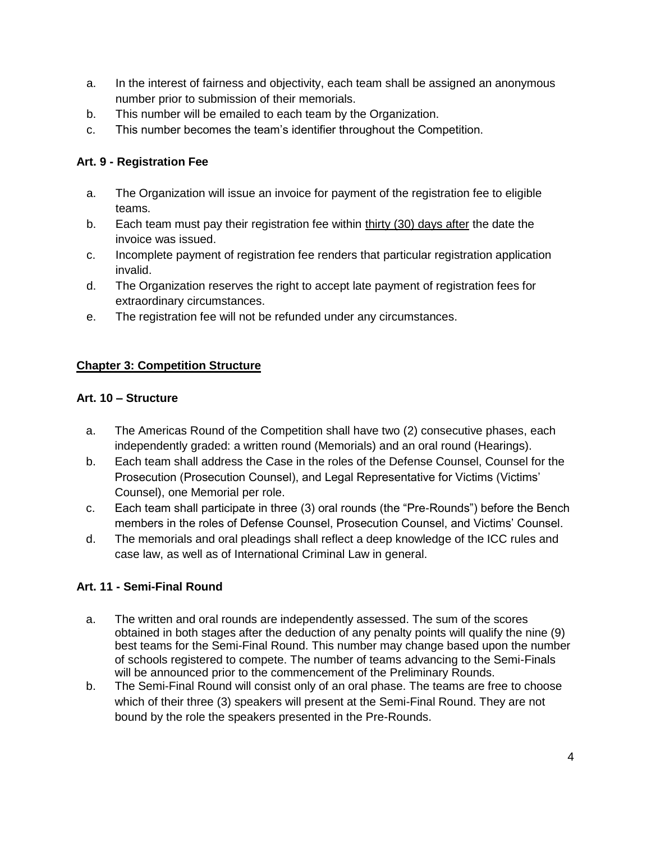- a. In the interest of fairness and objectivity, each team shall be assigned an anonymous number prior to submission of their memorials.
- b. This number will be emailed to each team by the Organization.
- c. This number becomes the team's identifier throughout the Competition.

# **Art. 9 - Registration Fee**

- a. The Organization will issue an invoice for payment of the registration fee to eligible teams.
- b. Each team must pay their registration fee within thirty (30) days after the date the invoice was issued.
- c. Incomplete payment of registration fee renders that particular registration application invalid.
- d. The Organization reserves the right to accept late payment of registration fees for extraordinary circumstances.
- e. The registration fee will not be refunded under any circumstances.

# **Chapter 3: Competition Structure**

#### **Art. 10 – Structure**

- a. The Americas Round of the Competition shall have two (2) consecutive phases, each independently graded: a written round (Memorials) and an oral round (Hearings).
- b. Each team shall address the Case in the roles of the Defense Counsel, Counsel for the Prosecution (Prosecution Counsel), and Legal Representative for Victims (Victims' Counsel), one Memorial per role.
- c. Each team shall participate in three (3) oral rounds (the "Pre-Rounds") before the Bench members in the roles of Defense Counsel, Prosecution Counsel, and Victims' Counsel.
- d. The memorials and oral pleadings shall reflect a deep knowledge of the ICC rules and case law, as well as of International Criminal Law in general.

# **Art. 11 - Semi-Final Round**

- a. The written and oral rounds are independently assessed. The sum of the scores obtained in both stages after the deduction of any penalty points will qualify the nine (9) best teams for the Semi-Final Round. This number may change based upon the number of schools registered to compete. The number of teams advancing to the Semi-Finals will be announced prior to the commencement of the Preliminary Rounds.
- b. The Semi-Final Round will consist only of an oral phase. The teams are free to choose which of their three (3) speakers will present at the Semi-Final Round. They are not bound by the role the speakers presented in the Pre-Rounds.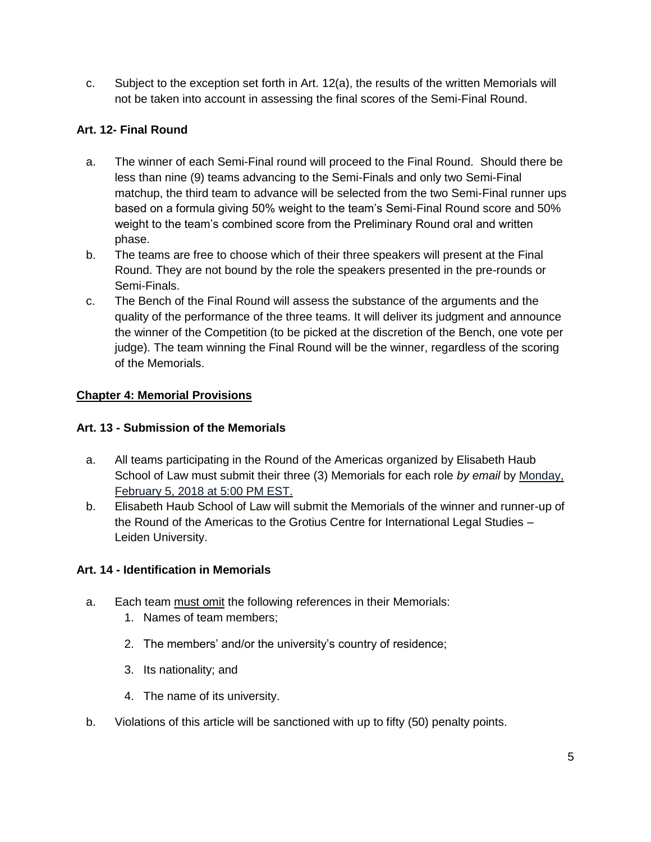c. Subject to the exception set forth in Art. 12(a), the results of the written Memorials will not be taken into account in assessing the final scores of the Semi-Final Round.

# **Art. 12- Final Round**

- a. The winner of each Semi-Final round will proceed to the Final Round. Should there be less than nine (9) teams advancing to the Semi-Finals and only two Semi-Final matchup, the third team to advance will be selected from the two Semi-Final runner ups based on a formula giving 50% weight to the team's Semi-Final Round score and 50% weight to the team's combined score from the Preliminary Round oral and written phase.
- b. The teams are free to choose which of their three speakers will present at the Final Round. They are not bound by the role the speakers presented in the pre-rounds or Semi-Finals.
- c. The Bench of the Final Round will assess the substance of the arguments and the quality of the performance of the three teams. It will deliver its judgment and announce the winner of the Competition (to be picked at the discretion of the Bench, one vote per judge). The team winning the Final Round will be the winner, regardless of the scoring of the Memorials.

# **Chapter 4: Memorial Provisions**

### **Art. 13 - Submission of the Memorials**

- a. All teams participating in the Round of the Americas organized by Elisabeth Haub School of Law must submit their three (3) Memorials for each role *by email* by Monday, February 5, 2018 at 5:00 PM EST.
- b. Elisabeth Haub School of Law will submit the Memorials of the winner and runner-up of the Round of the Americas to the Grotius Centre for International Legal Studies – Leiden University.

# **Art. 14 - Identification in Memorials**

- a. Each team must omit the following references in their Memorials:
	- 1. Names of team members;
	- 2. The members' and/or the university's country of residence;
	- 3. Its nationality; and
	- 4. The name of its university.
- b. Violations of this article will be sanctioned with up to fifty (50) penalty points.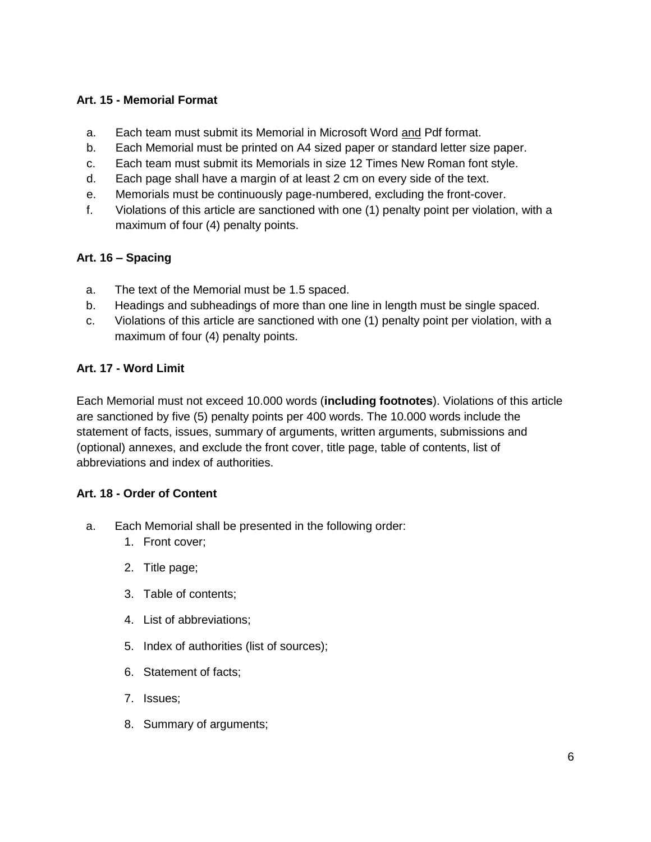# **Art. 15 - Memorial Format**

- a. Each team must submit its Memorial in Microsoft Word and Pdf format.
- b. Each Memorial must be printed on A4 sized paper or standard letter size paper.
- c. Each team must submit its Memorials in size 12 Times New Roman font style.
- d. Each page shall have a margin of at least 2 cm on every side of the text.
- e. Memorials must be continuously page-numbered, excluding the front-cover.
- f. Violations of this article are sanctioned with one (1) penalty point per violation, with a maximum of four (4) penalty points.

#### **Art. 16 – Spacing**

- a. The text of the Memorial must be 1.5 spaced.
- b. Headings and subheadings of more than one line in length must be single spaced.
- c. Violations of this article are sanctioned with one (1) penalty point per violation, with a maximum of four (4) penalty points.

#### **Art. 17 - Word Limit**

Each Memorial must not exceed 10.000 words (**including footnotes**). Violations of this article are sanctioned by five (5) penalty points per 400 words. The 10.000 words include the statement of facts, issues, summary of arguments, written arguments, submissions and (optional) annexes, and exclude the front cover, title page, table of contents, list of abbreviations and index of authorities.

#### **Art. 18 - Order of Content**

- a. Each Memorial shall be presented in the following order:
	- 1. Front cover;
	- 2. Title page;
	- 3. Table of contents;
	- 4. List of abbreviations;
	- 5. Index of authorities (list of sources);
	- 6. Statement of facts;
	- 7. Issues;
	- 8. Summary of arguments;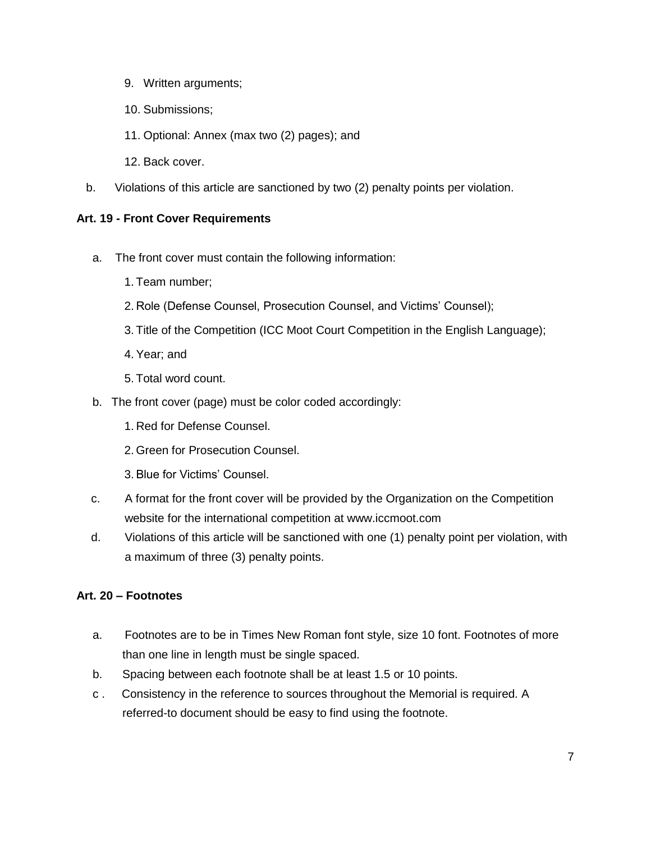- 9. Written arguments;
- 10. Submissions;
- 11. Optional: Annex (max two (2) pages); and
- 12. Back cover.
- b. Violations of this article are sanctioned by two (2) penalty points per violation.

#### **Art. 19 - Front Cover Requirements**

- a. The front cover must contain the following information:
	- 1. Team number;
	- 2. Role (Defense Counsel, Prosecution Counsel, and Victims' Counsel);
	- 3. Title of the Competition (ICC Moot Court Competition in the English Language);
	- 4. Year; and
	- 5. Total word count.
- b. The front cover (page) must be color coded accordingly:
	- 1. Red for Defense Counsel.
	- 2. Green for Prosecution Counsel.
	- 3. Blue for Victims' Counsel.
- c. A format for the front cover will be provided by the Organization on the Competition website for the international competition at www.iccmoot.com
- d. Violations of this article will be sanctioned with one (1) penalty point per violation, with a maximum of three (3) penalty points.

#### **Art. 20 – Footnotes**

- a. Footnotes are to be in Times New Roman font style, size 10 font. Footnotes of more than one line in length must be single spaced.
- b. Spacing between each footnote shall be at least 1.5 or 10 points.
- c . Consistency in the reference to sources throughout the Memorial is required. A referred-to document should be easy to find using the footnote.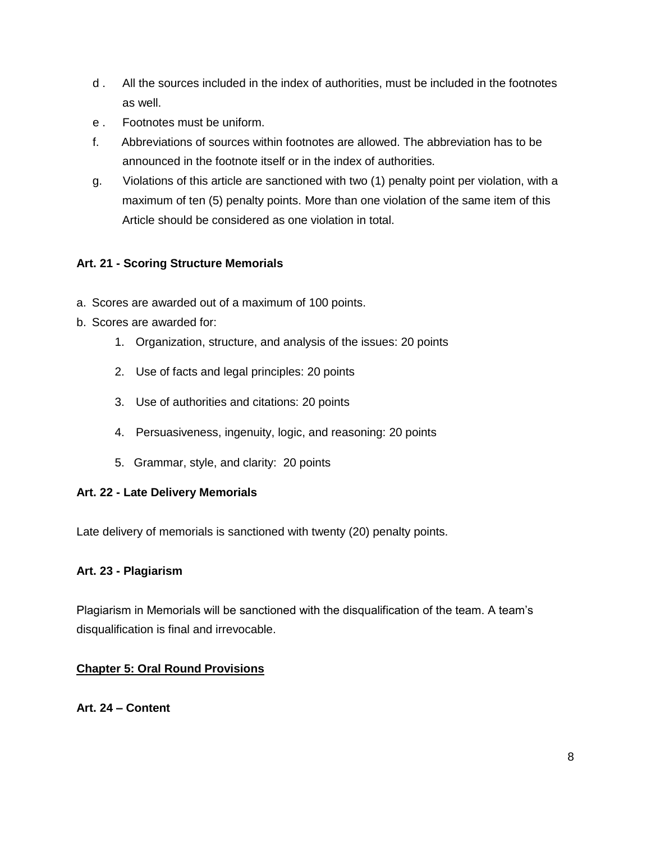- d . All the sources included in the index of authorities, must be included in the footnotes as well.
- e . Footnotes must be uniform.
- f. Abbreviations of sources within footnotes are allowed. The abbreviation has to be announced in the footnote itself or in the index of authorities.
- g. Violations of this article are sanctioned with two (1) penalty point per violation, with a maximum of ten (5) penalty points. More than one violation of the same item of this Article should be considered as one violation in total.

#### **Art. 21 - Scoring Structure Memorials**

- a. Scores are awarded out of a maximum of 100 points.
- b. Scores are awarded for:
	- 1. Organization, structure, and analysis of the issues: 20 points
	- 2. Use of facts and legal principles: 20 points
	- 3. Use of authorities and citations: 20 points
	- 4. Persuasiveness, ingenuity, logic, and reasoning: 20 points
	- 5. Grammar, style, and clarity: 20 points

#### **Art. 22 - Late Delivery Memorials**

Late delivery of memorials is sanctioned with twenty (20) penalty points.

#### **Art. 23 - Plagiarism**

Plagiarism in Memorials will be sanctioned with the disqualification of the team. A team's disqualification is final and irrevocable.

#### **Chapter 5: Oral Round Provisions**

**Art. 24 – Content**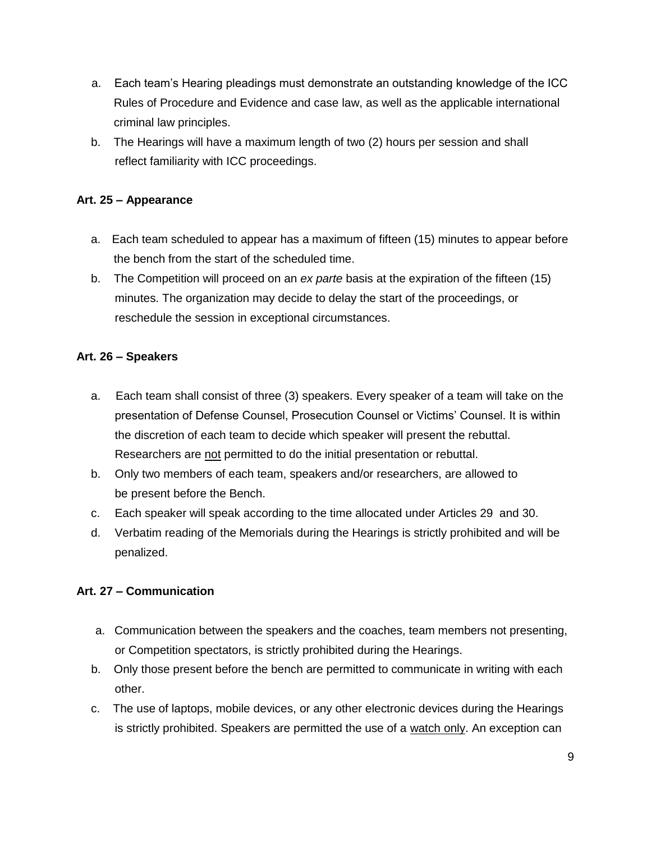- a. Each team's Hearing pleadings must demonstrate an outstanding knowledge of the ICC Rules of Procedure and Evidence and case law, as well as the applicable international criminal law principles.
- b. The Hearings will have a maximum length of two (2) hours per session and shall reflect familiarity with ICC proceedings.

#### **Art. 25 – Appearance**

- a. Each team scheduled to appear has a maximum of fifteen (15) minutes to appear before the bench from the start of the scheduled time.
- b. The Competition will proceed on an *ex parte* basis at the expiration of the fifteen (15) minutes. The organization may decide to delay the start of the proceedings, or reschedule the session in exceptional circumstances.

#### **Art. 26 – Speakers**

- a. Each team shall consist of three (3) speakers. Every speaker of a team will take on the presentation of Defense Counsel, Prosecution Counsel or Victims' Counsel. It is within the discretion of each team to decide which speaker will present the rebuttal. Researchers are not permitted to do the initial presentation or rebuttal.
- b. Only two members of each team, speakers and/or researchers, are allowed to be present before the Bench.
- c. Each speaker will speak according to the time allocated under Articles 29 and 30.
- d. Verbatim reading of the Memorials during the Hearings is strictly prohibited and will be penalized.

#### **Art. 27 – Communication**

- a. Communication between the speakers and the coaches, team members not presenting, or Competition spectators, is strictly prohibited during the Hearings.
- b. Only those present before the bench are permitted to communicate in writing with each other.
- c. The use of laptops, mobile devices, or any other electronic devices during the Hearings is strictly prohibited. Speakers are permitted the use of a watch only. An exception can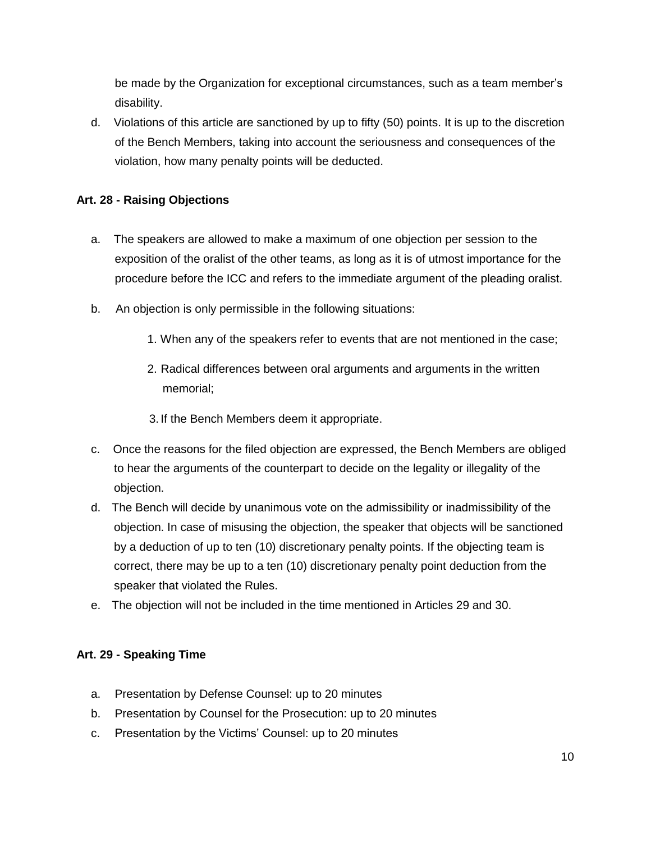be made by the Organization for exceptional circumstances, such as a team member's disability.

d. Violations of this article are sanctioned by up to fifty (50) points. It is up to the discretion of the Bench Members, taking into account the seriousness and consequences of the violation, how many penalty points will be deducted.

# **Art. 28 - Raising Objections**

- a. The speakers are allowed to make a maximum of one objection per session to the exposition of the oralist of the other teams, as long as it is of utmost importance for the procedure before the ICC and refers to the immediate argument of the pleading oralist.
- b. An objection is only permissible in the following situations:
	- 1. When any of the speakers refer to events that are not mentioned in the case;
	- 2. Radical differences between oral arguments and arguments in the written memorial;
	- 3. If the Bench Members deem it appropriate.
- c. Once the reasons for the filed objection are expressed, the Bench Members are obliged to hear the arguments of the counterpart to decide on the legality or illegality of the objection.
- d. The Bench will decide by unanimous vote on the admissibility or inadmissibility of the objection. In case of misusing the objection, the speaker that objects will be sanctioned by a deduction of up to ten (10) discretionary penalty points. If the objecting team is correct, there may be up to a ten (10) discretionary penalty point deduction from the speaker that violated the Rules.
- e. The objection will not be included in the time mentioned in Articles 29 and 30.

#### **Art. 29 - Speaking Time**

- a. Presentation by Defense Counsel: up to 20 minutes
- b. Presentation by Counsel for the Prosecution: up to 20 minutes
- c. Presentation by the Victims' Counsel: up to 20 minutes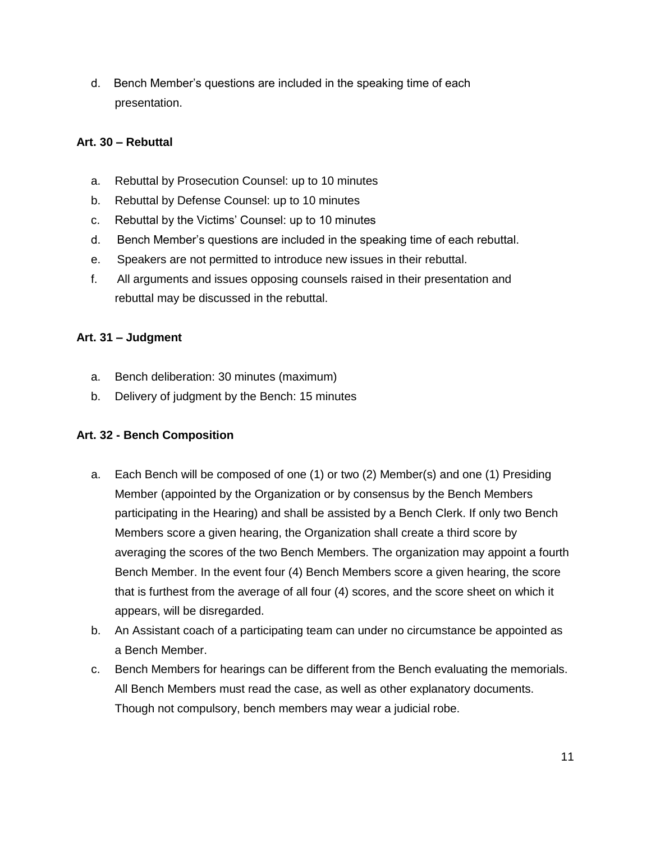d. Bench Member's questions are included in the speaking time of each presentation.

#### **Art. 30 – Rebuttal**

- a. Rebuttal by Prosecution Counsel: up to 10 minutes
- b. Rebuttal by Defense Counsel: up to 10 minutes
- c. Rebuttal by the Victims' Counsel: up to 10 minutes
- d. Bench Member's questions are included in the speaking time of each rebuttal.
- e. Speakers are not permitted to introduce new issues in their rebuttal.
- f. All arguments and issues opposing counsels raised in their presentation and rebuttal may be discussed in the rebuttal.

#### **Art. 31 – Judgment**

- a. Bench deliberation: 30 minutes (maximum)
- b. Delivery of judgment by the Bench: 15 minutes

#### **Art. 32 - Bench Composition**

- a. Each Bench will be composed of one (1) or two (2) Member(s) and one (1) Presiding Member (appointed by the Organization or by consensus by the Bench Members participating in the Hearing) and shall be assisted by a Bench Clerk. If only two Bench Members score a given hearing, the Organization shall create a third score by averaging the scores of the two Bench Members. The organization may appoint a fourth Bench Member. In the event four (4) Bench Members score a given hearing, the score that is furthest from the average of all four (4) scores, and the score sheet on which it appears, will be disregarded.
- b. An Assistant coach of a participating team can under no circumstance be appointed as a Bench Member.
- c. Bench Members for hearings can be different from the Bench evaluating the memorials. All Bench Members must read the case, as well as other explanatory documents. Though not compulsory, bench members may wear a judicial robe.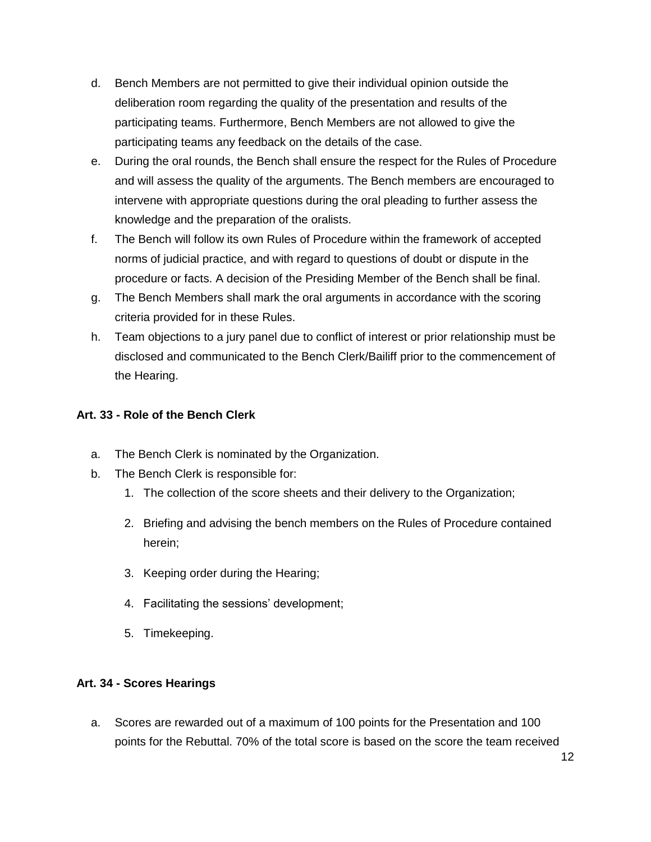- d. Bench Members are not permitted to give their individual opinion outside the deliberation room regarding the quality of the presentation and results of the participating teams. Furthermore, Bench Members are not allowed to give the participating teams any feedback on the details of the case.
- e. During the oral rounds, the Bench shall ensure the respect for the Rules of Procedure and will assess the quality of the arguments. The Bench members are encouraged to intervene with appropriate questions during the oral pleading to further assess the knowledge and the preparation of the oralists.
- f. The Bench will follow its own Rules of Procedure within the framework of accepted norms of judicial practice, and with regard to questions of doubt or dispute in the procedure or facts. A decision of the Presiding Member of the Bench shall be final.
- g. The Bench Members shall mark the oral arguments in accordance with the scoring criteria provided for in these Rules.
- h. Team objections to a jury panel due to conflict of interest or prior relationship must be disclosed and communicated to the Bench Clerk/Bailiff prior to the commencement of the Hearing.

#### **Art. 33 - Role of the Bench Clerk**

- a. The Bench Clerk is nominated by the Organization.
- b. The Bench Clerk is responsible for:
	- 1. The collection of the score sheets and their delivery to the Organization;
	- 2. Briefing and advising the bench members on the Rules of Procedure contained herein;
	- 3. Keeping order during the Hearing;
	- 4. Facilitating the sessions' development;
	- 5. Timekeeping.

#### **Art. 34 - Scores Hearings**

a. Scores are rewarded out of a maximum of 100 points for the Presentation and 100 points for the Rebuttal. 70% of the total score is based on the score the team received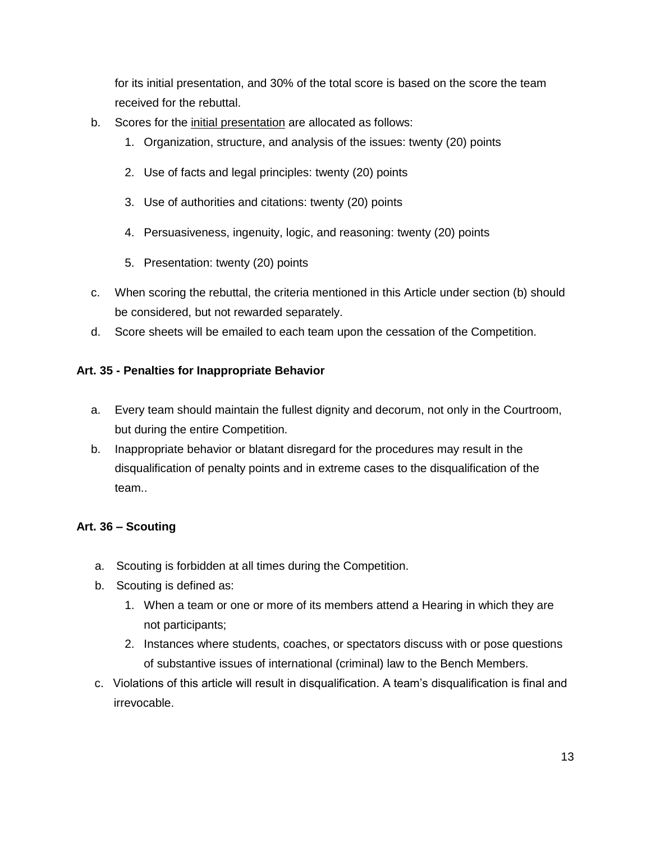for its initial presentation, and 30% of the total score is based on the score the team received for the rebuttal.

- b. Scores for the initial presentation are allocated as follows:
	- 1. Organization, structure, and analysis of the issues: twenty (20) points
	- 2. Use of facts and legal principles: twenty (20) points
	- 3. Use of authorities and citations: twenty (20) points
	- 4. Persuasiveness, ingenuity, logic, and reasoning: twenty (20) points
	- 5. Presentation: twenty (20) points
- c. When scoring the rebuttal, the criteria mentioned in this Article under section (b) should be considered, but not rewarded separately.
- d. Score sheets will be emailed to each team upon the cessation of the Competition.

# **Art. 35 - Penalties for Inappropriate Behavior**

- a. Every team should maintain the fullest dignity and decorum, not only in the Courtroom, but during the entire Competition.
- b. Inappropriate behavior or blatant disregard for the procedures may result in the disqualification of penalty points and in extreme cases to the disqualification of the team..

#### **Art. 36 – Scouting**

- a. Scouting is forbidden at all times during the Competition.
- b. Scouting is defined as:
	- 1. When a team or one or more of its members attend a Hearing in which they are not participants;
	- 2. Instances where students, coaches, or spectators discuss with or pose questions of substantive issues of international (criminal) law to the Bench Members.
- c. Violations of this article will result in disqualification. A team's disqualification is final and irrevocable.